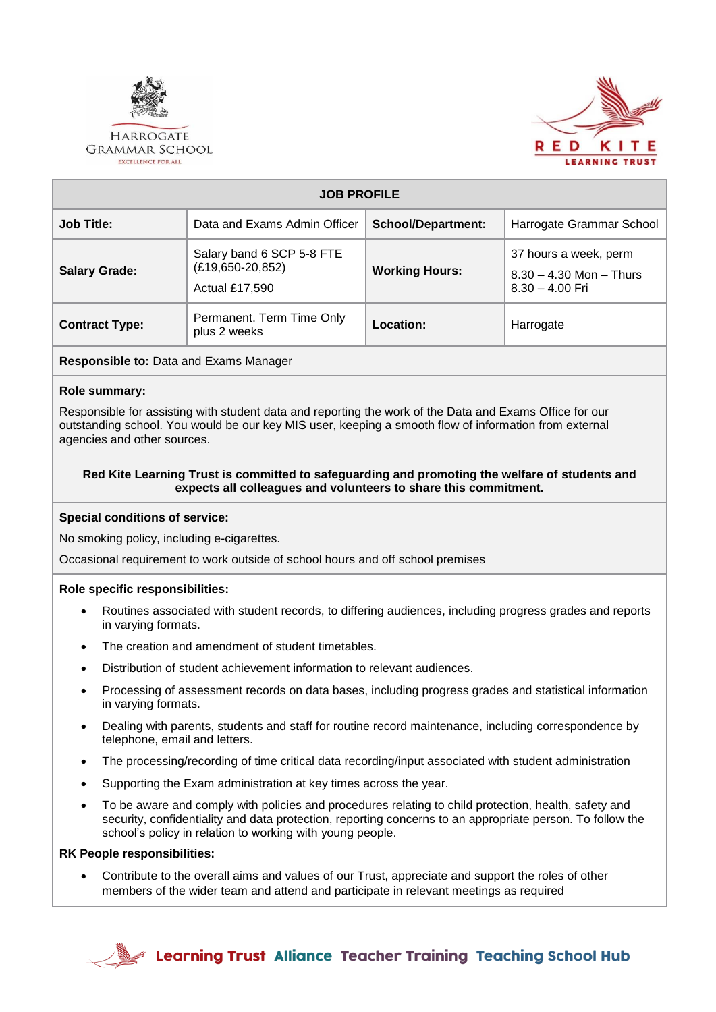

#### **HARROGATE GRAMMAR SCHOOL EXCELLENCE FOR ALL**



| <b>JOB PROFILE</b>    |                                                                   |                           |                                                                           |  |  |
|-----------------------|-------------------------------------------------------------------|---------------------------|---------------------------------------------------------------------------|--|--|
| <b>Job Title:</b>     | Data and Exams Admin Officer                                      | <b>School/Department:</b> | Harrogate Grammar School                                                  |  |  |
| <b>Salary Grade:</b>  | Salary band 6 SCP 5-8 FTE<br>$(E19,650-20,852)$<br>Actual £17,590 | <b>Working Hours:</b>     | 37 hours a week, perm<br>$8.30 - 4.30$ Mon $-$ Thurs<br>$8.30 - 4.00$ Fri |  |  |
| <b>Contract Type:</b> | Permanent. Term Time Only<br>plus 2 weeks                         | Location:                 | Harrogate                                                                 |  |  |

**Responsible to:** Data and Exams Manager

## **Role summary:**

Responsible for assisting with student data and reporting the work of the Data and Exams Office for our outstanding school. You would be our key MIS user, keeping a smooth flow of information from external agencies and other sources.

### **Red Kite Learning Trust is committed to safeguarding and promoting the welfare of students and expects all colleagues and volunteers to share this commitment.**

## **Special conditions of service:**

No smoking policy, including e-cigarettes.

Occasional requirement to work outside of school hours and off school premises

## **Role specific responsibilities:**

- Routines associated with student records, to differing audiences, including progress grades and reports in varying formats.
- The creation and amendment of student timetables.
- Distribution of student achievement information to relevant audiences.
- Processing of assessment records on data bases, including progress grades and statistical information in varying formats.
- Dealing with parents, students and staff for routine record maintenance, including correspondence by telephone, email and letters.
- The processing/recording of time critical data recording/input associated with student administration
- Supporting the Exam administration at key times across the year.
- To be aware and comply with policies and procedures relating to child protection, health, safety and security, confidentiality and data protection, reporting concerns to an appropriate person. To follow the school's policy in relation to working with young people.

#### **RK People responsibilities:**

• Contribute to the overall aims and values of our Trust, appreciate and support the roles of other members of the wider team and attend and participate in relevant meetings as required



Learning Trust Alliance Teacher Training Teaching School Hub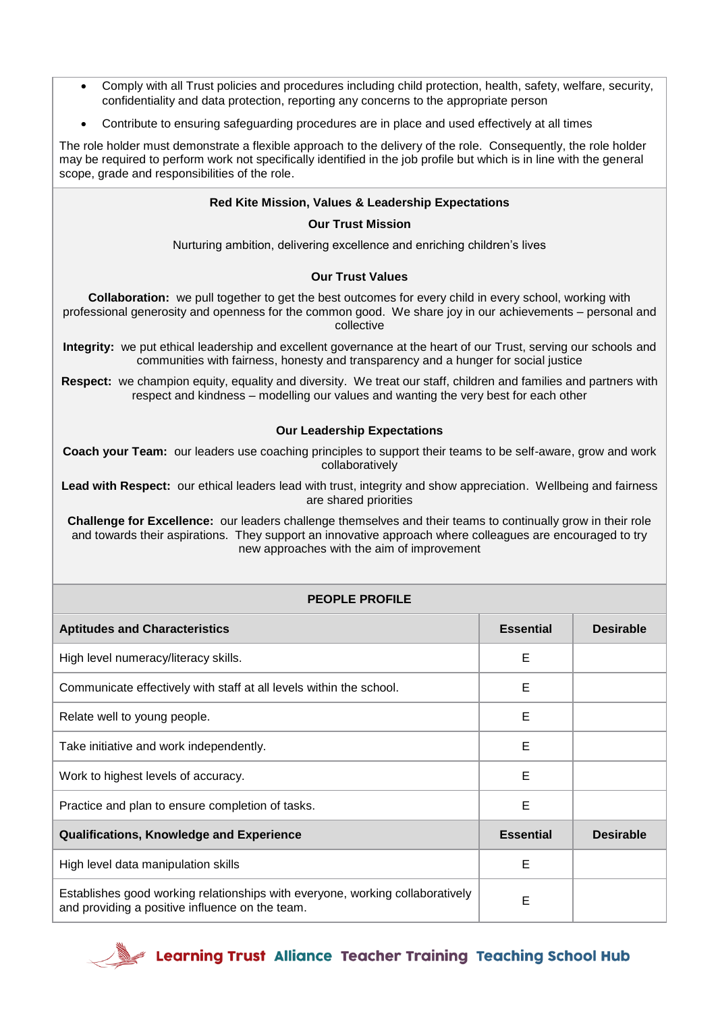- Comply with all Trust policies and procedures including child protection, health, safety, welfare, security, confidentiality and data protection, reporting any concerns to the appropriate person
- Contribute to ensuring safeguarding procedures are in place and used effectively at all times

The role holder must demonstrate a flexible approach to the delivery of the role. Consequently, the role holder may be required to perform work not specifically identified in the job profile but which is in line with the general scope, grade and responsibilities of the role.

## **Red Kite Mission, Values & Leadership Expectations**

#### **Our Trust Mission**

Nurturing ambition, delivering excellence and enriching children's lives

#### **Our Trust Values**

**Collaboration:** we pull together to get the best outcomes for every child in every school, working with professional generosity and openness for the common good. We share joy in our achievements – personal and collective

**Integrity:** we put ethical leadership and excellent governance at the heart of our Trust, serving our schools and communities with fairness, honesty and transparency and a hunger for social justice

**Respect:** we champion equity, equality and diversity. We treat our staff, children and families and partners with respect and kindness – modelling our values and wanting the very best for each other

#### **Our Leadership Expectations**

**Coach your Team:** our leaders use coaching principles to support their teams to be self-aware, grow and work collaboratively

**Lead with Respect:** our ethical leaders lead with trust, integrity and show appreciation. Wellbeing and fairness are shared priorities

**Challenge for Excellence:** our leaders challenge themselves and their teams to continually grow in their role and towards their aspirations. They support an innovative approach where colleagues are encouraged to try new approaches with the aim of improvement

# **PEOPLE PROFILE**

| <b>Aptitudes and Characteristics</b>                                                                                             | <b>Essential</b> | <b>Desirable</b> |
|----------------------------------------------------------------------------------------------------------------------------------|------------------|------------------|
| High level numeracy/literacy skills.                                                                                             | Е                |                  |
| Communicate effectively with staff at all levels within the school.                                                              | Е                |                  |
| Relate well to young people.                                                                                                     | E                |                  |
| Take initiative and work independently.                                                                                          | Е                |                  |
| Work to highest levels of accuracy.                                                                                              | E                |                  |
| Practice and plan to ensure completion of tasks.                                                                                 | Е                |                  |
| <b>Qualifications, Knowledge and Experience</b>                                                                                  | <b>Essential</b> | <b>Desirable</b> |
| High level data manipulation skills                                                                                              | E                |                  |
| Establishes good working relationships with everyone, working collaboratively<br>and providing a positive influence on the team. | Е                |                  |

**Example 7 Learning Trust** Alliance Teacher Training Teaching School Hub